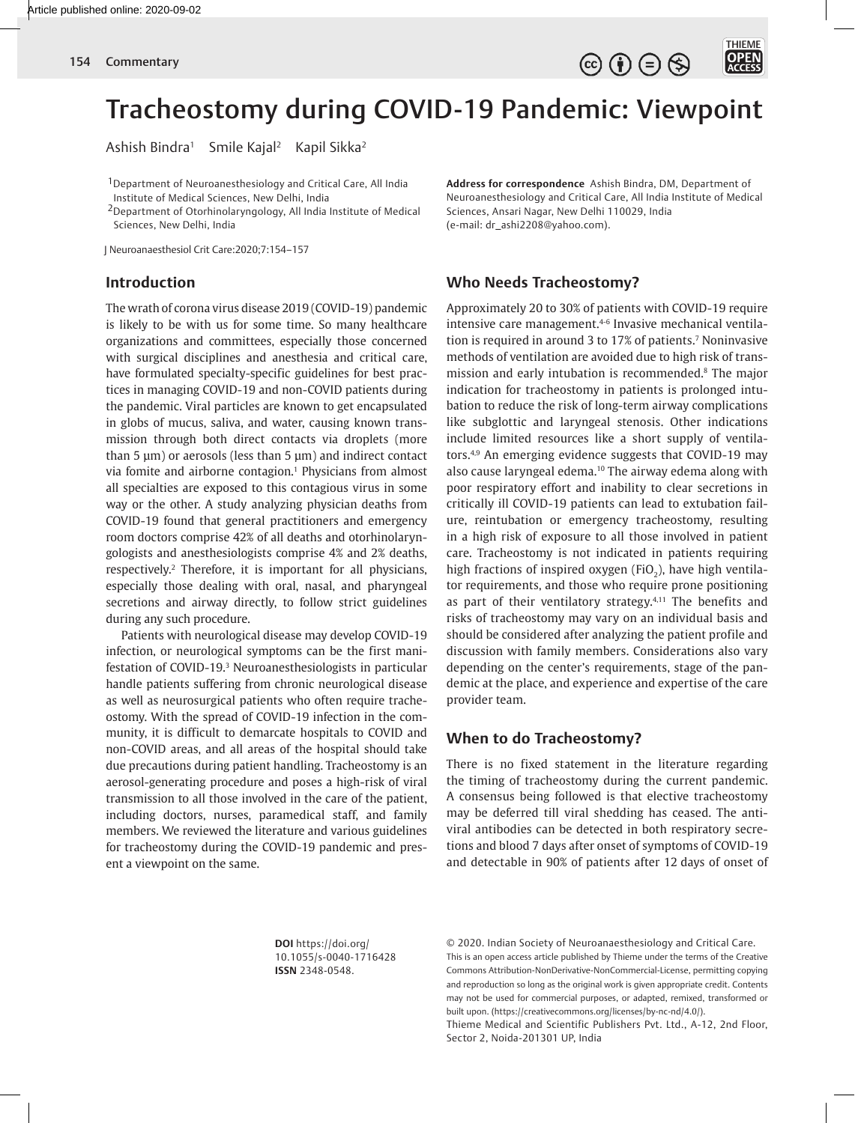$\circledcirc$  (i)  $\ominus$   $\circledcirc$ 

THIEME

**OPEN** 

# Tracheostomy during COVID-19 Pandemic: Viewpoint

Ashish Bindra<sup>1</sup> Smile Kajal<sup>2</sup> Kapil Sikka<sup>2</sup>

1Department of Neuroanesthesiology and Critical Care, All India Institute of Medical Sciences, New Delhi, India

2Department of Otorhinolaryngology, All India Institute of Medical Sciences, New Delhi, India

J Neuroanaesthesiol Crit Care:2020;7:154–157

#### **Introduction**

The wrath of corona virus disease 2019 (COVID-19) pandemic is likely to be with us for some time. So many healthcare organizations and committees, especially those concerned with surgical disciplines and anesthesia and critical care, have formulated specialty-specific guidelines for best practices in managing COVID-19 and non-COVID patients during the pandemic. Viral particles are known to get encapsulated in globs of mucus, saliva, and water, causing known transmission through both direct contacts via droplets (more than  $5 \mu m$ ) or aerosols (less than  $5 \mu m$ ) and indirect contact via fomite and airborne contagion.1 Physicians from almost all specialties are exposed to this contagious virus in some way or the other. A study analyzing physician deaths from COVID-19 found that general practitioners and emergency room doctors comprise 42% of all deaths and otorhinolaryngologists and anesthesiologists comprise 4% and 2% deaths, respectively.2 Therefore, it is important for all physicians, especially those dealing with oral, nasal, and pharyngeal secretions and airway directly, to follow strict guidelines during any such procedure.

Patients with neurological disease may develop COVID-19 infection, or neurological symptoms can be the first manifestation of COVID-19.3 Neuroanesthesiologists in particular handle patients suffering from chronic neurological disease as well as neurosurgical patients who often require tracheostomy. With the spread of COVID-19 infection in the community, it is difficult to demarcate hospitals to COVID and non-COVID areas, and all areas of the hospital should take due precautions during patient handling. Tracheostomy is an aerosol-generating procedure and poses a high-risk of viral transmission to all those involved in the care of the patient, including doctors, nurses, paramedical staff, and family members. We reviewed the literature and various guidelines for tracheostomy during the COVID-19 pandemic and present a viewpoint on the same.

**Address for correspondence** Ashish Bindra, DM, Department of Neuroanesthesiology and Critical Care, All India Institute of Medical Sciences, Ansari Nagar, New Delhi 110029, India (e-mail: dr\_ashi2208@yahoo.com).

# **Who Needs Tracheostomy?**

Approximately 20 to 30% of patients with COVID-19 require intensive care management.4-6 Invasive mechanical ventilation is required in around 3 to 17% of patients.7 Noninvasive methods of ventilation are avoided due to high risk of transmission and early intubation is recommended.8 The major indication for tracheostomy in patients is prolonged intubation to reduce the risk of long-term airway complications like subglottic and laryngeal stenosis. Other indications include limited resources like a short supply of ventilators.4,9 An emerging evidence suggests that COVID-19 may also cause laryngeal edema.<sup>10</sup> The airway edema along with poor respiratory effort and inability to clear secretions in critically ill COVID-19 patients can lead to extubation failure, reintubation or emergency tracheostomy, resulting in a high risk of exposure to all those involved in patient care. Tracheostomy is not indicated in patients requiring high fractions of inspired oxygen (FiO $_2$ ), have high ventilator requirements, and those who require prone positioning as part of their ventilatory strategy.<sup>4,11</sup> The benefits and risks of tracheostomy may vary on an individual basis and should be considered after analyzing the patient profile and discussion with family members. Considerations also vary depending on the center's requirements, stage of the pandemic at the place, and experience and expertise of the care provider team.

## **When to do Tracheostomy?**

There is no fixed statement in the literature regarding the timing of tracheostomy during the current pandemic. A consensus being followed is that elective tracheostomy may be deferred till viral shedding has ceased. The antiviral antibodies can be detected in both respiratory secretions and blood 7 days after onset of symptoms of COVID-19 and detectable in 90% of patients after 12 days of onset of

**DOI** https://doi.org/ 10.1055/s-0040-1716428 **ISSN** 2348-0548.

© 2020. Indian Society of Neuroanaesthesiology and Critical Care. This is an open access article published by Thieme under the terms of the Creative Commons Attribution-NonDerivative-NonCommercial-License, permitting copying and reproduction so long as the original work is given appropriate credit. Contents may not be used for commercial purposes, or adapted, remixed, transformed or built upon. (https://creativecommons.org/licenses/by-nc-nd/4.0/).

Thieme Medical and Scientific Publishers Pvt. Ltd., A-12, 2nd Floor, Sector 2, Noida-201301 UP, India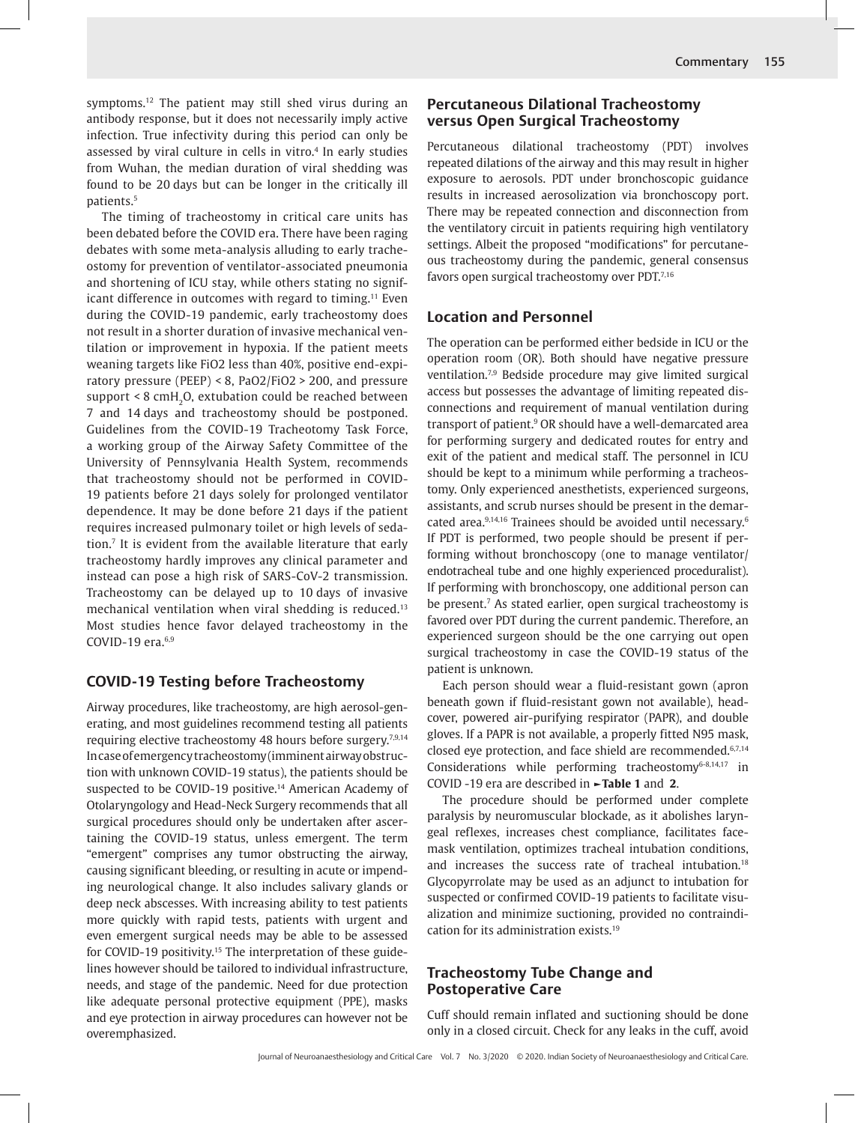symptoms.12 The patient may still shed virus during an antibody response, but it does not necessarily imply active infection. True infectivity during this period can only be assessed by viral culture in cells in vitro.4 In early studies from Wuhan, the median duration of viral shedding was found to be 20 days but can be longer in the critically ill patients.5

The timing of tracheostomy in critical care units has been debated before the COVID era. There have been raging debates with some meta-analysis alluding to early tracheostomy for prevention of ventilator-associated pneumonia and shortening of ICU stay, while others stating no significant difference in outcomes with regard to timing.<sup>11</sup> Even during the COVID-19 pandemic, early tracheostomy does not result in a shorter duration of invasive mechanical ventilation or improvement in hypoxia. If the patient meets weaning targets like FiO2 less than 40%, positive end-expiratory pressure (PEEP) < 8, PaO2/FiO2 > 200, and pressure support  $\leq 8$  cmH<sub>2</sub>O, extubation could be reached between 7 and 14 days and tracheostomy should be postponed. Guidelines from the COVID-19 Tracheotomy Task Force, a working group of the Airway Safety Committee of the University of Pennsylvania Health System, recommends that tracheostomy should not be performed in COVID-19 patients before 21 days solely for prolonged ventilator dependence. It may be done before 21 days if the patient requires increased pulmonary toilet or high levels of sedation.7 It is evident from the available literature that early tracheostomy hardly improves any clinical parameter and instead can pose a high risk of SARS-CoV-2 transmission. Tracheostomy can be delayed up to 10 days of invasive mechanical ventilation when viral shedding is reduced.13 Most studies hence favor delayed tracheostomy in the COVID-19 era.<sup>6,9</sup>

#### **COVID-19 Testing before Tracheostomy**

Airway procedures, like tracheostomy, are high aerosol-generating, and most guidelines recommend testing all patients requiring elective tracheostomy 48 hours before surgery.<sup>7,9,14</sup> In case of emergency tracheostomy (imminent airway obstruction with unknown COVID-19 status), the patients should be suspected to be COVID-19 positive.<sup>14</sup> American Academy of Otolaryngology and Head-Neck Surgery recommends that all surgical procedures should only be undertaken after ascertaining the COVID-19 status, unless emergent. The term "emergent" comprises any tumor obstructing the airway, causing significant bleeding, or resulting in acute or impending neurological change. It also includes salivary glands or deep neck abscesses. With increasing ability to test patients more quickly with rapid tests, patients with urgent and even emergent surgical needs may be able to be assessed for COVID-19 positivity.<sup>15</sup> The interpretation of these guidelines however should be tailored to individual infrastructure, needs, and stage of the pandemic. Need for due protection like adequate personal protective equipment (PPE), masks and eye protection in airway procedures can however not be overemphasized.

## **Percutaneous Dilational Tracheostomy versus Open Surgical Tracheostomy**

Percutaneous dilational tracheostomy (PDT) involves repeated dilations of the airway and this may result in higher exposure to aerosols. PDT under bronchoscopic guidance results in increased aerosolization via bronchoscopy port. There may be repeated connection and disconnection from the ventilatory circuit in patients requiring high ventilatory settings. Albeit the proposed "modifications" for percutaneous tracheostomy during the pandemic, general consensus favors open surgical tracheostomy over PDT.7,16

### **Location and Personnel**

The operation can be performed either bedside in ICU or the operation room (OR). Both should have negative pressure ventilation.7,9 Bedside procedure may give limited surgical access but possesses the advantage of limiting repeated disconnections and requirement of manual ventilation during transport of patient.9 OR should have a well-demarcated area for performing surgery and dedicated routes for entry and exit of the patient and medical staff. The personnel in ICU should be kept to a minimum while performing a tracheostomy. Only experienced anesthetists, experienced surgeons, assistants, and scrub nurses should be present in the demarcated area.<sup>9,14,16</sup> Trainees should be avoided until necessary.<sup>6</sup> If PDT is performed, two people should be present if performing without bronchoscopy (one to manage ventilator/ endotracheal tube and one highly experienced proceduralist). If performing with bronchoscopy, one additional person can be present.7 As stated earlier, open surgical tracheostomy is favored over PDT during the current pandemic. Therefore, an experienced surgeon should be the one carrying out open surgical tracheostomy in case the COVID-19 status of the patient is unknown.

Each person should wear a fluid-resistant gown (apron beneath gown if fluid-resistant gown not available), headcover, powered air-purifying respirator (PAPR), and double gloves. If a PAPR is not available, a properly fitted N95 mask, closed eye protection, and face shield are recommended.<sup>6,7,14</sup> Considerations while performing tracheostomy $6-8,14,17$  in COVID -19 era are described in **►Table 1** and **2**.

The procedure should be performed under complete paralysis by neuromuscular blockade, as it abolishes laryngeal reflexes, increases chest compliance, facilitates facemask ventilation, optimizes tracheal intubation conditions, and increases the success rate of tracheal intubation.<sup>18</sup> Glycopyrrolate may be used as an adjunct to intubation for suspected or confirmed COVID-19 patients to facilitate visualization and minimize suctioning, provided no contraindication for its administration exists.19

#### **Tracheostomy Tube Change and Postoperative Care**

Cuff should remain inflated and suctioning should be done only in a closed circuit. Check for any leaks in the cuff, avoid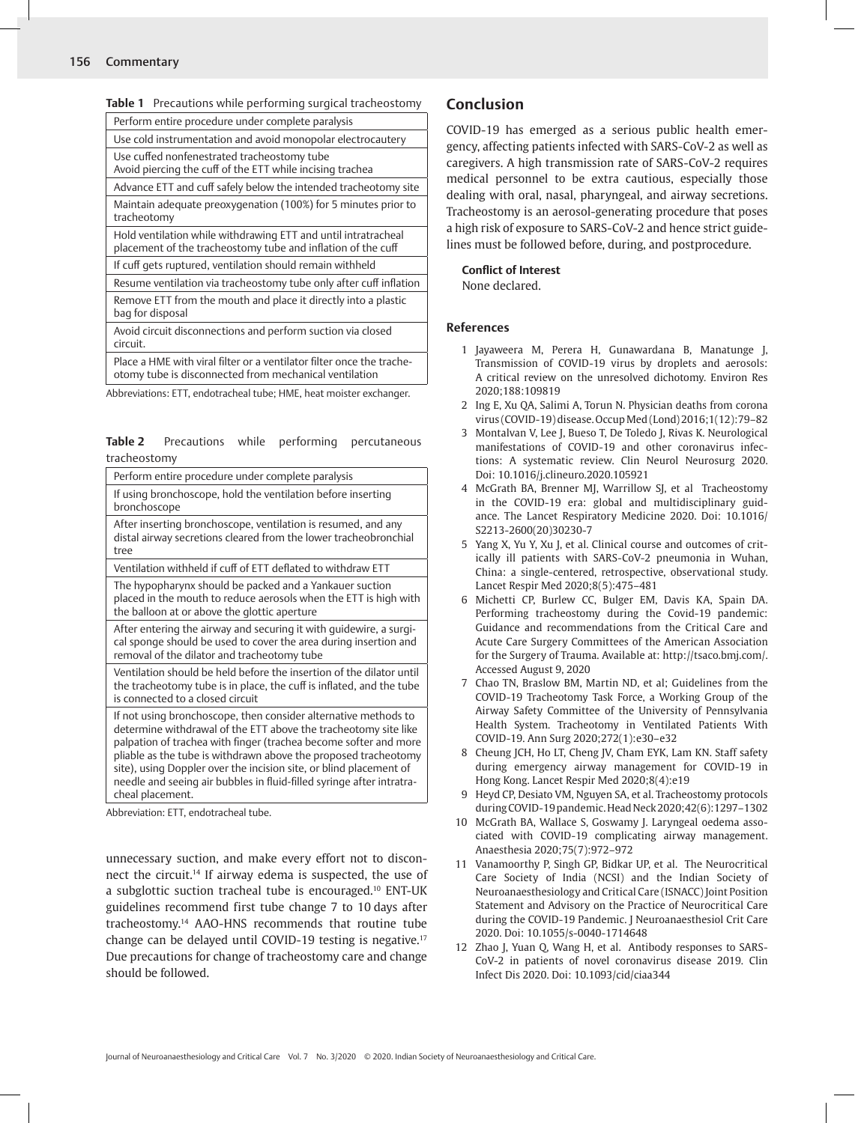| Table 1 Precautions while performing surgical tracheostomy |  |  |
|------------------------------------------------------------|--|--|
|------------------------------------------------------------|--|--|

| Perform entire procedure under complete paralysis                                                                              |
|--------------------------------------------------------------------------------------------------------------------------------|
| Use cold instrumentation and avoid monopolar electrocautery                                                                    |
| Use cuffed nonfenestrated tracheostomy tube<br>Avoid piercing the cuff of the ETT while incising trachea                       |
| Advance ETT and cuff safely below the intended tracheotomy site                                                                |
| Maintain adequate preoxygenation (100%) for 5 minutes prior to<br>tracheotomy                                                  |
| Hold ventilation while withdrawing ETT and until intratracheal<br>placement of the tracheostomy tube and inflation of the cuff |
| If cuff gets ruptured, ventilation should remain withheld                                                                      |
| Resume ventilation via tracheostomy tube only after cuff inflation                                                             |
| Remove ETT from the mouth and place it directly into a plastic<br>bag for disposal                                             |
| Avoid circuit disconnections and perform suction via closed<br>circuit.                                                        |

Place a HME with viral filter or a ventilator filter once the tracheotomy tube is disconnected from mechanical ventilation

Abbreviations: ETT, endotracheal tube; HME, heat moister exchanger.

#### **Table 2** Precautions while performing percutaneous tracheostomy

| Perform entire procedure under complete paralysis                                                                                                                                                                                                                                                                                                                                                                                            |  |
|----------------------------------------------------------------------------------------------------------------------------------------------------------------------------------------------------------------------------------------------------------------------------------------------------------------------------------------------------------------------------------------------------------------------------------------------|--|
| If using bronchoscope, hold the ventilation before inserting<br>bronchoscope                                                                                                                                                                                                                                                                                                                                                                 |  |
| After inserting bronchoscope, ventilation is resumed, and any<br>distal airway secretions cleared from the lower tracheobronchial<br>tree                                                                                                                                                                                                                                                                                                    |  |
| Ventilation withheld if cuff of ETT deflated to withdraw ETT                                                                                                                                                                                                                                                                                                                                                                                 |  |
| The hypopharynx should be packed and a Yankauer suction<br>placed in the mouth to reduce aerosols when the ETT is high with<br>the balloon at or above the glottic aperture                                                                                                                                                                                                                                                                  |  |
| After entering the airway and securing it with guidewire, a surgi-<br>cal sponge should be used to cover the area during insertion and<br>removal of the dilator and tracheotomy tube                                                                                                                                                                                                                                                        |  |
| Ventilation should be held before the insertion of the dilator until<br>the tracheotomy tube is in place, the cuff is inflated, and the tube<br>is connected to a closed circuit                                                                                                                                                                                                                                                             |  |
| If not using bronchoscope, then consider alternative methods to<br>determine withdrawal of the ETT above the tracheotomy site like<br>palpation of trachea with finger (trachea become softer and more<br>pliable as the tube is withdrawn above the proposed tracheotomy<br>site), using Doppler over the incision site, or blind placement of<br>needle and seeing air bubbles in fluid-filled syringe after intratra-<br>cheal placement. |  |

Abbreviation: ETT, endotracheal tube.

unnecessary suction, and make every effort not to disconnect the circuit.14 If airway edema is suspected, the use of a subglottic suction tracheal tube is encouraged.10 ENT-UK guidelines recommend first tube change 7 to 10 days after tracheostomy.14 AAO-HNS recommends that routine tube change can be delayed until COVID-19 testing is negative.17 Due precautions for change of tracheostomy care and change should be followed.

# **Conclusion**

COVID-19 has emerged as a serious public health emergency, affecting patients infected with SARS-CoV-2 as well as caregivers. A high transmission rate of SARS-CoV-2 requires medical personnel to be extra cautious, especially those dealing with oral, nasal, pharyngeal, and airway secretions. Tracheostomy is an aerosol-generating procedure that poses a high risk of exposure to SARS-CoV-2 and hence strict guidelines must be followed before, during, and postprocedure.

#### **Conflict of Interest**

None declared.

#### **References**

- 1 Jayaweera M, Perera H, Gunawardana B, Manatunge J, Transmission of COVID-19 virus by droplets and aerosols: A critical review on the unresolved dichotomy. Environ Res 2020;188:109819
- 2 Ing E, Xu QA, Salimi A, Torun N. Physician deaths from corona virus (COVID-19) disease. Occup Med (Lond) 2016;1(12):79–82
- 3 Montalvan V, Lee J, Bueso T, De Toledo J, Rivas K. Neurological manifestations of COVID-19 and other coronavirus infections: A systematic review. Clin Neurol Neurosurg 2020. Doi: 10.1016/j.clineuro.2020.105921
- 4 McGrath BA, Brenner MJ, Warrillow SJ, et al Tracheostomy in the COVID-19 era: global and multidisciplinary guidance. The Lancet Respiratory Medicine 2020. Doi: 10.1016/ S2213-2600(20)30230-7
- 5 Yang X, Yu Y, Xu J, et al. Clinical course and outcomes of critically ill patients with SARS-CoV-2 pneumonia in Wuhan, China: a single-centered, retrospective, observational study. Lancet Respir Med 2020;8(5):475–481
- 6 Michetti CP, Burlew CC, Bulger EM, Davis KA, Spain DA. Performing tracheostomy during the Covid-19 pandemic: Guidance and recommendations from the Critical Care and Acute Care Surgery Committees of the American Association for the Surgery of Trauma. Available at: http://tsaco.bmj.com/. Accessed August 9, 2020
- 7 Chao TN, Braslow BM, Martin ND, et al; Guidelines from the COVID-19 Tracheotomy Task Force, a Working Group of the Airway Safety Committee of the University of Pennsylvania Health System. Tracheotomy in Ventilated Patients With COVID-19. Ann Surg 2020;272(1):e30–e32
- 8 Cheung JCH, Ho LT, Cheng JV, Cham EYK, Lam KN. Staff safety during emergency airway management for COVID-19 in Hong Kong. Lancet Respir Med 2020;8(4):e19
- 9 Heyd CP, Desiato VM, Nguyen SA, et al. Tracheostomy protocols during COVID-19 pandemic. Head Neck 2020;42(6):1297–1302
- 10 McGrath BA, Wallace S, Goswamy J. Laryngeal oedema associated with COVID-19 complicating airway management. Anaesthesia 2020;75(7):972–972
- 11 Vanamoorthy P, Singh GP, Bidkar UP, et al. The Neurocritical Care Society of India (NCSI) and the Indian Society of Neuroanaesthesiology and Critical Care (ISNACC) Joint Position Statement and Advisory on the Practice of Neurocritical Care during the COVID-19 Pandemic. J Neuroanaesthesiol Crit Care 2020. Doi: 10.1055/s-0040-1714648
- 12 Zhao J, Yuan Q, Wang H, et al. Antibody responses to SARS-CoV-2 in patients of novel coronavirus disease 2019. Clin Infect Dis 2020. Doi: 10.1093/cid/ciaa344